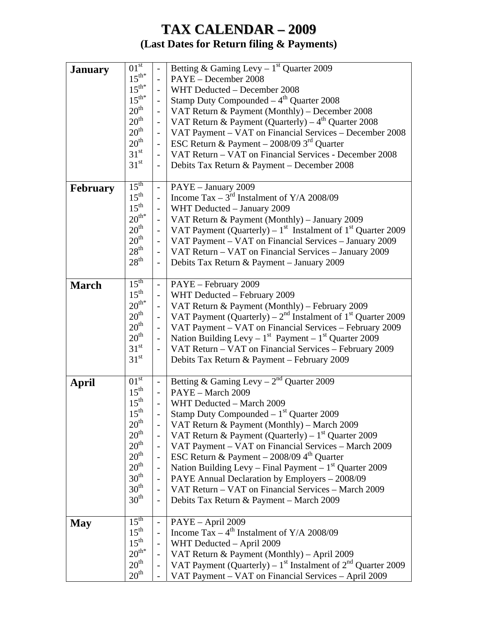## **TAX CALENDAR – 2009 (Last Dates for Return filing & Payments)**

| <b>January</b>  | $\overline{01}^{st}$                 | $\Box$                                    | Betting & Gaming Levy – $1st$ Quarter 2009                                 |
|-----------------|--------------------------------------|-------------------------------------------|----------------------------------------------------------------------------|
|                 | $15^{\text{th}^*}$                   | $\overline{\phantom{0}}$                  | PAYE - December 2008                                                       |
|                 | $15^{\text{th}^*}$                   | $\overline{\phantom{0}}$                  | WHT Deducted - December 2008                                               |
|                 | $15^{\text{th}^*}$                   | $\frac{1}{2}$                             | Stamp Duty Compounded $-4th$ Quarter 2008                                  |
|                 | 20 <sup>th</sup>                     | $\overline{a}$                            | VAT Return & Payment (Monthly) – December 2008                             |
|                 | 20 <sup>th</sup>                     | $\blacksquare$                            | VAT Return & Payment (Quarterly) $-4^{th}$ Quarter 2008                    |
|                 | 20 <sup>th</sup>                     | $\overline{\phantom{a}}$                  | VAT Payment – VAT on Financial Services – December 2008                    |
|                 | 20 <sup>th</sup>                     | $\blacksquare$                            | ESC Return & Payment $-$ 2008/09 3 <sup>rd</sup> Quarter                   |
|                 | 31 <sup>st</sup>                     | $\overline{a}$                            | VAT Return - VAT on Financial Services - December 2008                     |
|                 | 31 <sup>st</sup>                     | $\overline{\phantom{a}}$                  | Debits Tax Return & Payment - December 2008                                |
|                 |                                      |                                           |                                                                            |
| <b>February</b> | $15^{\text{th}}$                     | $\overline{a}$                            | PAYE - January 2009                                                        |
|                 | $15^{\text{th}}$                     | $\overline{a}$                            | Income Tax – $3^{rd}$ Instalment of Y/A 2008/09                            |
|                 | $15^{\text{th}}$                     | $\blacksquare$                            | WHT Deducted - January 2009                                                |
|                 | $20^{th*}$                           | $\frac{1}{2}$                             | VAT Return & Payment (Monthly) - January 2009                              |
|                 | 20 <sup>th</sup>                     | $\frac{1}{2}$                             | VAT Payment (Quarterly) – $1st$ Instalment of $1st$ Quarter 2009           |
|                 | 20 <sup>th</sup>                     | $\overline{\phantom{a}}$                  | VAT Payment - VAT on Financial Services - January 2009                     |
|                 | $28^{\text{th}}$                     | $\frac{1}{2}$                             | VAT Return – VAT on Financial Services – January 2009                      |
|                 | $28^{\text{th}}$                     |                                           |                                                                            |
|                 |                                      | $\overline{\phantom{a}}$                  | Debits Tax Return & Payment - January 2009                                 |
|                 | $15^{\text{th}}$                     |                                           |                                                                            |
| <b>March</b>    | $15^{\text{th}}$                     | $\overline{\phantom{a}}$<br>$\frac{1}{2}$ | PAYE - February 2009<br>WHT Deducted - February 2009                       |
|                 | $20^{th*}$                           |                                           |                                                                            |
|                 | 20 <sup>th</sup>                     | $\frac{1}{2}$                             | VAT Return & Payment (Monthly) - February 2009                             |
|                 |                                      | $\overline{\phantom{a}}$                  | VAT Payment (Quarterly) – $2nd$ Instalment of 1 <sup>st</sup> Quarter 2009 |
|                 | $20^{\text{th}}$                     | $\overline{\phantom{0}}$                  | VAT Payment – VAT on Financial Services – February 2009                    |
|                 | 20 <sup>th</sup>                     | $\overline{\phantom{a}}$                  | Nation Building Levy – $1^{st}$ Payment – $1^{st}$ Quarter 2009            |
|                 | 31 <sup>st</sup>                     | $\overline{\phantom{a}}$                  | VAT Return - VAT on Financial Services - February 2009                     |
|                 | 31 <sup>st</sup>                     |                                           | Debits Tax Return & Payment - February 2009                                |
|                 | 01 <sup>st</sup>                     |                                           | Betting & Gaming Levy – $2^{nd}$ Quarter 2009                              |
| April           | $15^{\text{th}}$                     | $\blacksquare$                            |                                                                            |
|                 | 15 <sup>th</sup>                     | $\overline{\phantom{a}}$                  | PAYE - March 2009                                                          |
|                 |                                      | $\overline{\phantom{a}}$                  | WHT Deducted - March 2009                                                  |
|                 | $15^{\text{th}}$<br>20 <sup>th</sup> |                                           | Stamp Duty Compounded $-1st$ Quarter 2009                                  |
|                 |                                      | $\overline{a}$                            | VAT Return & Payment (Monthly) – March 2009                                |
|                 | 20 <sup>th</sup>                     | $\overline{\phantom{a}}$                  | VAT Return & Payment (Quarterly) – $1st$ Quarter 2009                      |
|                 | 20 <sup>th</sup>                     | $\overline{\phantom{0}}$                  | VAT Payment - VAT on Financial Services - March 2009                       |
|                 | 20 <sup>th</sup>                     | $\overline{\phantom{a}}$                  | ESC Return & Payment $-$ 2008/09 4 <sup>th</sup> Quarter                   |
|                 | 20 <sup>th</sup>                     | $\frac{1}{2}$                             | Nation Building Levy – Final Payment – $1st$ Quarter 2009                  |
|                 | 30 <sup>th</sup>                     | $\frac{1}{2}$                             | PAYE Annual Declaration by Employers - 2008/09                             |
|                 | 30 <sup>th</sup>                     | $\overline{\phantom{a}}$                  | VAT Return - VAT on Financial Services - March 2009                        |
|                 | 30 <sup>th</sup>                     | $\overline{\phantom{0}}$                  | Debits Tax Return & Payment - March 2009                                   |
|                 |                                      |                                           |                                                                            |
| <b>May</b>      | $15^{\text{th}}$                     | $\overline{\phantom{a}}$                  | PAYE - April 2009                                                          |
|                 | $15^{\text{th}}$                     | $\overline{a}$                            | Income Tax $-4^{th}$ Instalment of Y/A 2008/09                             |
|                 | $15^{\text{th}}$                     | $\overline{a}$                            | WHT Deducted - April 2009                                                  |
|                 | $20^{th*}$                           | $\qquad \qquad \blacksquare$              | VAT Return & Payment (Monthly) - April 2009                                |
|                 | $20^{\text{th}}$                     | $\overline{\phantom{a}}$                  | VAT Payment (Quarterly) – $1st$ Instalment of $2nd$ Quarter 2009           |
|                 | 20 <sup>th</sup>                     | $\overline{\phantom{0}}$                  | VAT Payment - VAT on Financial Services - April 2009                       |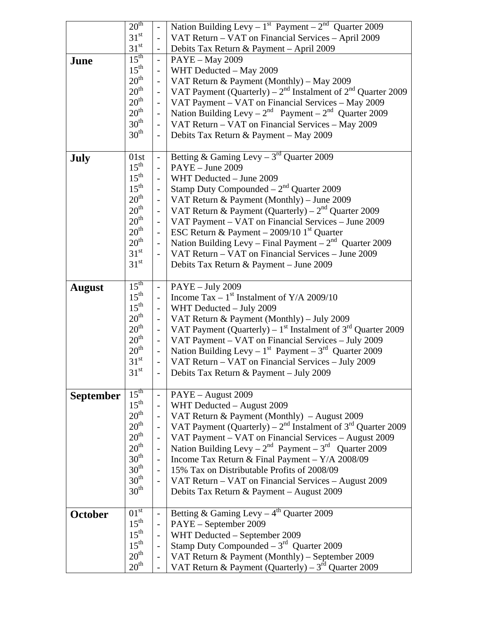| VAT Return - VAT on Financial Services - April 2009<br>$\overline{a}$<br>31 <sup>st</sup><br>Debits Tax Return & Payment - April 2009<br>$\overline{\phantom{a}}$<br>$15^{\text{th}}$<br><b>PAYE</b> - May 2009<br>$\bar{\mathcal{L}}$<br>June<br>$15^{\text{th}}$<br>WHT Deducted - May 2009<br>$\frac{1}{2}$<br>$20^{\text{th}}$<br>VAT Return & Payment (Monthly) – May 2009<br>$\overline{\phantom{a}}$<br>20 <sup>th</sup><br>VAT Payment (Quarterly) – $2^{nd}$ Instalment of $2^{nd}$ Quarter 2009<br>$\overline{a}$<br>$20^{\text{th}}$<br>VAT Payment - VAT on Financial Services - May 2009<br>$\frac{1}{2}$<br>20 <sup>th</sup><br>Nation Building Levy - $2^{nd}$ Payment - $2^{nd}$ Quarter 2009<br>$\overline{\phantom{0}}$<br>30 <sup>th</sup><br>VAT Return - VAT on Financial Services - May 2009<br>$\frac{1}{2}$<br>$30^{\text{th}}$<br>Debits Tax Return & Payment - May 2009<br>$\overline{\phantom{a}}$<br>Betting & Gaming Levy – $3rd$ Quarter 2009<br>01st<br>July<br>$\blacksquare$<br>$15^{\text{th}}$<br>$PAYE - June 2009$<br>$\frac{1}{2}$<br>$15^{\text{th}}$<br>WHT Deducted - June 2009<br>$\overline{\phantom{0}}$<br>$15^{\text{th}}$<br>Stamp Duty Compounded $-2nd$ Quarter 2009<br>$\overline{\phantom{a}}$<br>20 <sup>th</sup><br>VAT Return $&$ Payment (Monthly) – June 2009<br>$\Box$<br>$20^{\text{th}}$<br>VAT Return & Payment (Quarterly) – $2nd$ Quarter 2009<br>$\frac{1}{2}$<br>$20^{\text{th}}$<br>VAT Payment – VAT on Financial Services – June 2009<br>$\overline{\phantom{a}}$<br>20 <sup>th</sup><br>ESC Return & Payment $-$ 2009/10 1 <sup>st</sup> Quarter<br>$\overline{\phantom{a}}$<br>$20^{\text{th}}$<br>Nation Building Levy - Final Payment $-2nd$ Quarter 2009<br>$\blacksquare$<br>$31^{\rm st}$<br>VAT Return - VAT on Financial Services - June 2009<br>$\overline{\phantom{a}}$<br>31 <sup>st</sup><br>Debits Tax Return & Payment - June 2009<br>$15^{\text{th}}$<br>PAYE - July 2009<br>$\qquad \qquad -$<br><b>August</b><br>$15^{\text{th}}$<br>Income Tax – $1st$ Instalment of Y/A 2009/10<br>$\overline{\phantom{0}}$<br>$15^{\text{th}}$<br>WHT Deducted - July 2009<br>$\overline{\phantom{0}}$<br>20 <sup>th</sup><br>VAT Return & Payment (Monthly) – July 2009<br>$\overline{\phantom{0}}$<br>20 <sup>th</sup><br>VAT Payment (Quarterly) – $1st$ Instalment of $3rd$ Quarter 2009<br>$\blacksquare$<br>$20^{\text{th}}$<br>VAT Payment - VAT on Financial Services - July 2009<br>$\blacksquare$<br>$20^{\text{th}}$<br>Nation Building Levy – $1^{st}$ Payment – $3^{rd}$ Quarter 2009<br>$\overline{\phantom{a}}$<br>$31^{\rm st}$<br>VAT Return - VAT on Financial Services - July 2009<br>$\overline{\phantom{a}}$<br>31 <sup>st</sup><br>Debits Tax Return & Payment - July 2009<br>$15^{\text{th}}$<br>PAYE - August 2009<br><b>September</b><br>$\overline{\phantom{0}}$<br>$15^{\text{th}}$<br>WHT Deducted - August 2009<br>$\frac{1}{2}$<br>$20^{\text{th}}$<br>VAT Return & Payment (Monthly) - August 2009<br>$\frac{1}{2}$<br>20 <sup>th</sup><br>VAT Payment (Quarterly) – $2nd$ Instalment of $3rd$ Quarter 2009<br>$\frac{1}{2}$<br>20 <sup>th</sup><br>VAT Payment - VAT on Financial Services - August 2009<br>$\overline{a}$ | 20 <sup>th</sup> | $\mathbb{L}$ | Nation Building Levy - $1^{st}$ Payment - $2^{nd}$ Quarter 2009 |
|------------------------------------------------------------------------------------------------------------------------------------------------------------------------------------------------------------------------------------------------------------------------------------------------------------------------------------------------------------------------------------------------------------------------------------------------------------------------------------------------------------------------------------------------------------------------------------------------------------------------------------------------------------------------------------------------------------------------------------------------------------------------------------------------------------------------------------------------------------------------------------------------------------------------------------------------------------------------------------------------------------------------------------------------------------------------------------------------------------------------------------------------------------------------------------------------------------------------------------------------------------------------------------------------------------------------------------------------------------------------------------------------------------------------------------------------------------------------------------------------------------------------------------------------------------------------------------------------------------------------------------------------------------------------------------------------------------------------------------------------------------------------------------------------------------------------------------------------------------------------------------------------------------------------------------------------------------------------------------------------------------------------------------------------------------------------------------------------------------------------------------------------------------------------------------------------------------------------------------------------------------------------------------------------------------------------------------------------------------------------------------------------------------------------------------------------------------------------------------------------------------------------------------------------------------------------------------------------------------------------------------------------------------------------------------------------------------------------------------------------------------------------------------------------------------------------------------------------------------------------------------------------------------------------------------------------------------------------------------------------------------------------------------------------------------------------------------------------------------------------------------------------------------------------------------------------------------------------------------|------------------|--------------|-----------------------------------------------------------------|
|                                                                                                                                                                                                                                                                                                                                                                                                                                                                                                                                                                                                                                                                                                                                                                                                                                                                                                                                                                                                                                                                                                                                                                                                                                                                                                                                                                                                                                                                                                                                                                                                                                                                                                                                                                                                                                                                                                                                                                                                                                                                                                                                                                                                                                                                                                                                                                                                                                                                                                                                                                                                                                                                                                                                                                                                                                                                                                                                                                                                                                                                                                                                                                                                                                    | $31^{\rm st}$    |              |                                                                 |
|                                                                                                                                                                                                                                                                                                                                                                                                                                                                                                                                                                                                                                                                                                                                                                                                                                                                                                                                                                                                                                                                                                                                                                                                                                                                                                                                                                                                                                                                                                                                                                                                                                                                                                                                                                                                                                                                                                                                                                                                                                                                                                                                                                                                                                                                                                                                                                                                                                                                                                                                                                                                                                                                                                                                                                                                                                                                                                                                                                                                                                                                                                                                                                                                                                    |                  |              |                                                                 |
|                                                                                                                                                                                                                                                                                                                                                                                                                                                                                                                                                                                                                                                                                                                                                                                                                                                                                                                                                                                                                                                                                                                                                                                                                                                                                                                                                                                                                                                                                                                                                                                                                                                                                                                                                                                                                                                                                                                                                                                                                                                                                                                                                                                                                                                                                                                                                                                                                                                                                                                                                                                                                                                                                                                                                                                                                                                                                                                                                                                                                                                                                                                                                                                                                                    |                  |              |                                                                 |
|                                                                                                                                                                                                                                                                                                                                                                                                                                                                                                                                                                                                                                                                                                                                                                                                                                                                                                                                                                                                                                                                                                                                                                                                                                                                                                                                                                                                                                                                                                                                                                                                                                                                                                                                                                                                                                                                                                                                                                                                                                                                                                                                                                                                                                                                                                                                                                                                                                                                                                                                                                                                                                                                                                                                                                                                                                                                                                                                                                                                                                                                                                                                                                                                                                    |                  |              |                                                                 |
|                                                                                                                                                                                                                                                                                                                                                                                                                                                                                                                                                                                                                                                                                                                                                                                                                                                                                                                                                                                                                                                                                                                                                                                                                                                                                                                                                                                                                                                                                                                                                                                                                                                                                                                                                                                                                                                                                                                                                                                                                                                                                                                                                                                                                                                                                                                                                                                                                                                                                                                                                                                                                                                                                                                                                                                                                                                                                                                                                                                                                                                                                                                                                                                                                                    |                  |              |                                                                 |
|                                                                                                                                                                                                                                                                                                                                                                                                                                                                                                                                                                                                                                                                                                                                                                                                                                                                                                                                                                                                                                                                                                                                                                                                                                                                                                                                                                                                                                                                                                                                                                                                                                                                                                                                                                                                                                                                                                                                                                                                                                                                                                                                                                                                                                                                                                                                                                                                                                                                                                                                                                                                                                                                                                                                                                                                                                                                                                                                                                                                                                                                                                                                                                                                                                    |                  |              |                                                                 |
|                                                                                                                                                                                                                                                                                                                                                                                                                                                                                                                                                                                                                                                                                                                                                                                                                                                                                                                                                                                                                                                                                                                                                                                                                                                                                                                                                                                                                                                                                                                                                                                                                                                                                                                                                                                                                                                                                                                                                                                                                                                                                                                                                                                                                                                                                                                                                                                                                                                                                                                                                                                                                                                                                                                                                                                                                                                                                                                                                                                                                                                                                                                                                                                                                                    |                  |              |                                                                 |
|                                                                                                                                                                                                                                                                                                                                                                                                                                                                                                                                                                                                                                                                                                                                                                                                                                                                                                                                                                                                                                                                                                                                                                                                                                                                                                                                                                                                                                                                                                                                                                                                                                                                                                                                                                                                                                                                                                                                                                                                                                                                                                                                                                                                                                                                                                                                                                                                                                                                                                                                                                                                                                                                                                                                                                                                                                                                                                                                                                                                                                                                                                                                                                                                                                    |                  |              |                                                                 |
|                                                                                                                                                                                                                                                                                                                                                                                                                                                                                                                                                                                                                                                                                                                                                                                                                                                                                                                                                                                                                                                                                                                                                                                                                                                                                                                                                                                                                                                                                                                                                                                                                                                                                                                                                                                                                                                                                                                                                                                                                                                                                                                                                                                                                                                                                                                                                                                                                                                                                                                                                                                                                                                                                                                                                                                                                                                                                                                                                                                                                                                                                                                                                                                                                                    |                  |              |                                                                 |
|                                                                                                                                                                                                                                                                                                                                                                                                                                                                                                                                                                                                                                                                                                                                                                                                                                                                                                                                                                                                                                                                                                                                                                                                                                                                                                                                                                                                                                                                                                                                                                                                                                                                                                                                                                                                                                                                                                                                                                                                                                                                                                                                                                                                                                                                                                                                                                                                                                                                                                                                                                                                                                                                                                                                                                                                                                                                                                                                                                                                                                                                                                                                                                                                                                    |                  |              |                                                                 |
|                                                                                                                                                                                                                                                                                                                                                                                                                                                                                                                                                                                                                                                                                                                                                                                                                                                                                                                                                                                                                                                                                                                                                                                                                                                                                                                                                                                                                                                                                                                                                                                                                                                                                                                                                                                                                                                                                                                                                                                                                                                                                                                                                                                                                                                                                                                                                                                                                                                                                                                                                                                                                                                                                                                                                                                                                                                                                                                                                                                                                                                                                                                                                                                                                                    |                  |              |                                                                 |
|                                                                                                                                                                                                                                                                                                                                                                                                                                                                                                                                                                                                                                                                                                                                                                                                                                                                                                                                                                                                                                                                                                                                                                                                                                                                                                                                                                                                                                                                                                                                                                                                                                                                                                                                                                                                                                                                                                                                                                                                                                                                                                                                                                                                                                                                                                                                                                                                                                                                                                                                                                                                                                                                                                                                                                                                                                                                                                                                                                                                                                                                                                                                                                                                                                    |                  |              |                                                                 |
|                                                                                                                                                                                                                                                                                                                                                                                                                                                                                                                                                                                                                                                                                                                                                                                                                                                                                                                                                                                                                                                                                                                                                                                                                                                                                                                                                                                                                                                                                                                                                                                                                                                                                                                                                                                                                                                                                                                                                                                                                                                                                                                                                                                                                                                                                                                                                                                                                                                                                                                                                                                                                                                                                                                                                                                                                                                                                                                                                                                                                                                                                                                                                                                                                                    |                  |              |                                                                 |
|                                                                                                                                                                                                                                                                                                                                                                                                                                                                                                                                                                                                                                                                                                                                                                                                                                                                                                                                                                                                                                                                                                                                                                                                                                                                                                                                                                                                                                                                                                                                                                                                                                                                                                                                                                                                                                                                                                                                                                                                                                                                                                                                                                                                                                                                                                                                                                                                                                                                                                                                                                                                                                                                                                                                                                                                                                                                                                                                                                                                                                                                                                                                                                                                                                    |                  |              |                                                                 |
|                                                                                                                                                                                                                                                                                                                                                                                                                                                                                                                                                                                                                                                                                                                                                                                                                                                                                                                                                                                                                                                                                                                                                                                                                                                                                                                                                                                                                                                                                                                                                                                                                                                                                                                                                                                                                                                                                                                                                                                                                                                                                                                                                                                                                                                                                                                                                                                                                                                                                                                                                                                                                                                                                                                                                                                                                                                                                                                                                                                                                                                                                                                                                                                                                                    |                  |              |                                                                 |
|                                                                                                                                                                                                                                                                                                                                                                                                                                                                                                                                                                                                                                                                                                                                                                                                                                                                                                                                                                                                                                                                                                                                                                                                                                                                                                                                                                                                                                                                                                                                                                                                                                                                                                                                                                                                                                                                                                                                                                                                                                                                                                                                                                                                                                                                                                                                                                                                                                                                                                                                                                                                                                                                                                                                                                                                                                                                                                                                                                                                                                                                                                                                                                                                                                    |                  |              |                                                                 |
|                                                                                                                                                                                                                                                                                                                                                                                                                                                                                                                                                                                                                                                                                                                                                                                                                                                                                                                                                                                                                                                                                                                                                                                                                                                                                                                                                                                                                                                                                                                                                                                                                                                                                                                                                                                                                                                                                                                                                                                                                                                                                                                                                                                                                                                                                                                                                                                                                                                                                                                                                                                                                                                                                                                                                                                                                                                                                                                                                                                                                                                                                                                                                                                                                                    |                  |              |                                                                 |
|                                                                                                                                                                                                                                                                                                                                                                                                                                                                                                                                                                                                                                                                                                                                                                                                                                                                                                                                                                                                                                                                                                                                                                                                                                                                                                                                                                                                                                                                                                                                                                                                                                                                                                                                                                                                                                                                                                                                                                                                                                                                                                                                                                                                                                                                                                                                                                                                                                                                                                                                                                                                                                                                                                                                                                                                                                                                                                                                                                                                                                                                                                                                                                                                                                    |                  |              |                                                                 |
|                                                                                                                                                                                                                                                                                                                                                                                                                                                                                                                                                                                                                                                                                                                                                                                                                                                                                                                                                                                                                                                                                                                                                                                                                                                                                                                                                                                                                                                                                                                                                                                                                                                                                                                                                                                                                                                                                                                                                                                                                                                                                                                                                                                                                                                                                                                                                                                                                                                                                                                                                                                                                                                                                                                                                                                                                                                                                                                                                                                                                                                                                                                                                                                                                                    |                  |              |                                                                 |
|                                                                                                                                                                                                                                                                                                                                                                                                                                                                                                                                                                                                                                                                                                                                                                                                                                                                                                                                                                                                                                                                                                                                                                                                                                                                                                                                                                                                                                                                                                                                                                                                                                                                                                                                                                                                                                                                                                                                                                                                                                                                                                                                                                                                                                                                                                                                                                                                                                                                                                                                                                                                                                                                                                                                                                                                                                                                                                                                                                                                                                                                                                                                                                                                                                    |                  |              |                                                                 |
|                                                                                                                                                                                                                                                                                                                                                                                                                                                                                                                                                                                                                                                                                                                                                                                                                                                                                                                                                                                                                                                                                                                                                                                                                                                                                                                                                                                                                                                                                                                                                                                                                                                                                                                                                                                                                                                                                                                                                                                                                                                                                                                                                                                                                                                                                                                                                                                                                                                                                                                                                                                                                                                                                                                                                                                                                                                                                                                                                                                                                                                                                                                                                                                                                                    |                  |              |                                                                 |
|                                                                                                                                                                                                                                                                                                                                                                                                                                                                                                                                                                                                                                                                                                                                                                                                                                                                                                                                                                                                                                                                                                                                                                                                                                                                                                                                                                                                                                                                                                                                                                                                                                                                                                                                                                                                                                                                                                                                                                                                                                                                                                                                                                                                                                                                                                                                                                                                                                                                                                                                                                                                                                                                                                                                                                                                                                                                                                                                                                                                                                                                                                                                                                                                                                    |                  |              |                                                                 |
|                                                                                                                                                                                                                                                                                                                                                                                                                                                                                                                                                                                                                                                                                                                                                                                                                                                                                                                                                                                                                                                                                                                                                                                                                                                                                                                                                                                                                                                                                                                                                                                                                                                                                                                                                                                                                                                                                                                                                                                                                                                                                                                                                                                                                                                                                                                                                                                                                                                                                                                                                                                                                                                                                                                                                                                                                                                                                                                                                                                                                                                                                                                                                                                                                                    |                  |              |                                                                 |
|                                                                                                                                                                                                                                                                                                                                                                                                                                                                                                                                                                                                                                                                                                                                                                                                                                                                                                                                                                                                                                                                                                                                                                                                                                                                                                                                                                                                                                                                                                                                                                                                                                                                                                                                                                                                                                                                                                                                                                                                                                                                                                                                                                                                                                                                                                                                                                                                                                                                                                                                                                                                                                                                                                                                                                                                                                                                                                                                                                                                                                                                                                                                                                                                                                    |                  |              |                                                                 |
|                                                                                                                                                                                                                                                                                                                                                                                                                                                                                                                                                                                                                                                                                                                                                                                                                                                                                                                                                                                                                                                                                                                                                                                                                                                                                                                                                                                                                                                                                                                                                                                                                                                                                                                                                                                                                                                                                                                                                                                                                                                                                                                                                                                                                                                                                                                                                                                                                                                                                                                                                                                                                                                                                                                                                                                                                                                                                                                                                                                                                                                                                                                                                                                                                                    |                  |              |                                                                 |
|                                                                                                                                                                                                                                                                                                                                                                                                                                                                                                                                                                                                                                                                                                                                                                                                                                                                                                                                                                                                                                                                                                                                                                                                                                                                                                                                                                                                                                                                                                                                                                                                                                                                                                                                                                                                                                                                                                                                                                                                                                                                                                                                                                                                                                                                                                                                                                                                                                                                                                                                                                                                                                                                                                                                                                                                                                                                                                                                                                                                                                                                                                                                                                                                                                    |                  |              |                                                                 |
|                                                                                                                                                                                                                                                                                                                                                                                                                                                                                                                                                                                                                                                                                                                                                                                                                                                                                                                                                                                                                                                                                                                                                                                                                                                                                                                                                                                                                                                                                                                                                                                                                                                                                                                                                                                                                                                                                                                                                                                                                                                                                                                                                                                                                                                                                                                                                                                                                                                                                                                                                                                                                                                                                                                                                                                                                                                                                                                                                                                                                                                                                                                                                                                                                                    |                  |              |                                                                 |
|                                                                                                                                                                                                                                                                                                                                                                                                                                                                                                                                                                                                                                                                                                                                                                                                                                                                                                                                                                                                                                                                                                                                                                                                                                                                                                                                                                                                                                                                                                                                                                                                                                                                                                                                                                                                                                                                                                                                                                                                                                                                                                                                                                                                                                                                                                                                                                                                                                                                                                                                                                                                                                                                                                                                                                                                                                                                                                                                                                                                                                                                                                                                                                                                                                    |                  |              |                                                                 |
|                                                                                                                                                                                                                                                                                                                                                                                                                                                                                                                                                                                                                                                                                                                                                                                                                                                                                                                                                                                                                                                                                                                                                                                                                                                                                                                                                                                                                                                                                                                                                                                                                                                                                                                                                                                                                                                                                                                                                                                                                                                                                                                                                                                                                                                                                                                                                                                                                                                                                                                                                                                                                                                                                                                                                                                                                                                                                                                                                                                                                                                                                                                                                                                                                                    |                  |              |                                                                 |
|                                                                                                                                                                                                                                                                                                                                                                                                                                                                                                                                                                                                                                                                                                                                                                                                                                                                                                                                                                                                                                                                                                                                                                                                                                                                                                                                                                                                                                                                                                                                                                                                                                                                                                                                                                                                                                                                                                                                                                                                                                                                                                                                                                                                                                                                                                                                                                                                                                                                                                                                                                                                                                                                                                                                                                                                                                                                                                                                                                                                                                                                                                                                                                                                                                    |                  |              |                                                                 |
|                                                                                                                                                                                                                                                                                                                                                                                                                                                                                                                                                                                                                                                                                                                                                                                                                                                                                                                                                                                                                                                                                                                                                                                                                                                                                                                                                                                                                                                                                                                                                                                                                                                                                                                                                                                                                                                                                                                                                                                                                                                                                                                                                                                                                                                                                                                                                                                                                                                                                                                                                                                                                                                                                                                                                                                                                                                                                                                                                                                                                                                                                                                                                                                                                                    |                  |              |                                                                 |
|                                                                                                                                                                                                                                                                                                                                                                                                                                                                                                                                                                                                                                                                                                                                                                                                                                                                                                                                                                                                                                                                                                                                                                                                                                                                                                                                                                                                                                                                                                                                                                                                                                                                                                                                                                                                                                                                                                                                                                                                                                                                                                                                                                                                                                                                                                                                                                                                                                                                                                                                                                                                                                                                                                                                                                                                                                                                                                                                                                                                                                                                                                                                                                                                                                    |                  |              |                                                                 |
|                                                                                                                                                                                                                                                                                                                                                                                                                                                                                                                                                                                                                                                                                                                                                                                                                                                                                                                                                                                                                                                                                                                                                                                                                                                                                                                                                                                                                                                                                                                                                                                                                                                                                                                                                                                                                                                                                                                                                                                                                                                                                                                                                                                                                                                                                                                                                                                                                                                                                                                                                                                                                                                                                                                                                                                                                                                                                                                                                                                                                                                                                                                                                                                                                                    |                  |              |                                                                 |
|                                                                                                                                                                                                                                                                                                                                                                                                                                                                                                                                                                                                                                                                                                                                                                                                                                                                                                                                                                                                                                                                                                                                                                                                                                                                                                                                                                                                                                                                                                                                                                                                                                                                                                                                                                                                                                                                                                                                                                                                                                                                                                                                                                                                                                                                                                                                                                                                                                                                                                                                                                                                                                                                                                                                                                                                                                                                                                                                                                                                                                                                                                                                                                                                                                    |                  |              |                                                                 |
|                                                                                                                                                                                                                                                                                                                                                                                                                                                                                                                                                                                                                                                                                                                                                                                                                                                                                                                                                                                                                                                                                                                                                                                                                                                                                                                                                                                                                                                                                                                                                                                                                                                                                                                                                                                                                                                                                                                                                                                                                                                                                                                                                                                                                                                                                                                                                                                                                                                                                                                                                                                                                                                                                                                                                                                                                                                                                                                                                                                                                                                                                                                                                                                                                                    |                  |              |                                                                 |
|                                                                                                                                                                                                                                                                                                                                                                                                                                                                                                                                                                                                                                                                                                                                                                                                                                                                                                                                                                                                                                                                                                                                                                                                                                                                                                                                                                                                                                                                                                                                                                                                                                                                                                                                                                                                                                                                                                                                                                                                                                                                                                                                                                                                                                                                                                                                                                                                                                                                                                                                                                                                                                                                                                                                                                                                                                                                                                                                                                                                                                                                                                                                                                                                                                    |                  |              |                                                                 |
|                                                                                                                                                                                                                                                                                                                                                                                                                                                                                                                                                                                                                                                                                                                                                                                                                                                                                                                                                                                                                                                                                                                                                                                                                                                                                                                                                                                                                                                                                                                                                                                                                                                                                                                                                                                                                                                                                                                                                                                                                                                                                                                                                                                                                                                                                                                                                                                                                                                                                                                                                                                                                                                                                                                                                                                                                                                                                                                                                                                                                                                                                                                                                                                                                                    |                  |              |                                                                 |
|                                                                                                                                                                                                                                                                                                                                                                                                                                                                                                                                                                                                                                                                                                                                                                                                                                                                                                                                                                                                                                                                                                                                                                                                                                                                                                                                                                                                                                                                                                                                                                                                                                                                                                                                                                                                                                                                                                                                                                                                                                                                                                                                                                                                                                                                                                                                                                                                                                                                                                                                                                                                                                                                                                                                                                                                                                                                                                                                                                                                                                                                                                                                                                                                                                    |                  |              |                                                                 |
| $\frac{1}{2}$                                                                                                                                                                                                                                                                                                                                                                                                                                                                                                                                                                                                                                                                                                                                                                                                                                                                                                                                                                                                                                                                                                                                                                                                                                                                                                                                                                                                                                                                                                                                                                                                                                                                                                                                                                                                                                                                                                                                                                                                                                                                                                                                                                                                                                                                                                                                                                                                                                                                                                                                                                                                                                                                                                                                                                                                                                                                                                                                                                                                                                                                                                                                                                                                                      | $20^{\text{th}}$ |              | Nation Building Levy – $2^{nd}$ Payment – $3^{rd}$ Quarter 2009 |
| $30^{\text{th}}$<br>Income Tax Return & Final Payment - $Y/A$ 2008/09<br>$\overline{\phantom{a}}$                                                                                                                                                                                                                                                                                                                                                                                                                                                                                                                                                                                                                                                                                                                                                                                                                                                                                                                                                                                                                                                                                                                                                                                                                                                                                                                                                                                                                                                                                                                                                                                                                                                                                                                                                                                                                                                                                                                                                                                                                                                                                                                                                                                                                                                                                                                                                                                                                                                                                                                                                                                                                                                                                                                                                                                                                                                                                                                                                                                                                                                                                                                                  |                  |              |                                                                 |
| 30 <sup>th</sup><br>15% Tax on Distributable Profits of 2008/09<br>$\overline{\phantom{0}}$                                                                                                                                                                                                                                                                                                                                                                                                                                                                                                                                                                                                                                                                                                                                                                                                                                                                                                                                                                                                                                                                                                                                                                                                                                                                                                                                                                                                                                                                                                                                                                                                                                                                                                                                                                                                                                                                                                                                                                                                                                                                                                                                                                                                                                                                                                                                                                                                                                                                                                                                                                                                                                                                                                                                                                                                                                                                                                                                                                                                                                                                                                                                        |                  |              |                                                                 |
| 30 <sup>th</sup><br>VAT Return - VAT on Financial Services - August 2009<br>$\overline{\phantom{a}}$                                                                                                                                                                                                                                                                                                                                                                                                                                                                                                                                                                                                                                                                                                                                                                                                                                                                                                                                                                                                                                                                                                                                                                                                                                                                                                                                                                                                                                                                                                                                                                                                                                                                                                                                                                                                                                                                                                                                                                                                                                                                                                                                                                                                                                                                                                                                                                                                                                                                                                                                                                                                                                                                                                                                                                                                                                                                                                                                                                                                                                                                                                                               |                  |              |                                                                 |
| $30^{\text{th}}$<br>Debits Tax Return & Payment - August 2009                                                                                                                                                                                                                                                                                                                                                                                                                                                                                                                                                                                                                                                                                                                                                                                                                                                                                                                                                                                                                                                                                                                                                                                                                                                                                                                                                                                                                                                                                                                                                                                                                                                                                                                                                                                                                                                                                                                                                                                                                                                                                                                                                                                                                                                                                                                                                                                                                                                                                                                                                                                                                                                                                                                                                                                                                                                                                                                                                                                                                                                                                                                                                                      |                  |              |                                                                 |
|                                                                                                                                                                                                                                                                                                                                                                                                                                                                                                                                                                                                                                                                                                                                                                                                                                                                                                                                                                                                                                                                                                                                                                                                                                                                                                                                                                                                                                                                                                                                                                                                                                                                                                                                                                                                                                                                                                                                                                                                                                                                                                                                                                                                                                                                                                                                                                                                                                                                                                                                                                                                                                                                                                                                                                                                                                                                                                                                                                                                                                                                                                                                                                                                                                    |                  |              |                                                                 |
| $\overline{01}^{st}$<br>Betting & Gaming Levy - $4^{\overline{th}}$ Quarter 2009<br><b>October</b><br>$\frac{1}{2}$                                                                                                                                                                                                                                                                                                                                                                                                                                                                                                                                                                                                                                                                                                                                                                                                                                                                                                                                                                                                                                                                                                                                                                                                                                                                                                                                                                                                                                                                                                                                                                                                                                                                                                                                                                                                                                                                                                                                                                                                                                                                                                                                                                                                                                                                                                                                                                                                                                                                                                                                                                                                                                                                                                                                                                                                                                                                                                                                                                                                                                                                                                                |                  |              |                                                                 |
| $15^{\text{th}}$<br>PAYE - September 2009<br>$\frac{1}{2}$                                                                                                                                                                                                                                                                                                                                                                                                                                                                                                                                                                                                                                                                                                                                                                                                                                                                                                                                                                                                                                                                                                                                                                                                                                                                                                                                                                                                                                                                                                                                                                                                                                                                                                                                                                                                                                                                                                                                                                                                                                                                                                                                                                                                                                                                                                                                                                                                                                                                                                                                                                                                                                                                                                                                                                                                                                                                                                                                                                                                                                                                                                                                                                         |                  |              |                                                                 |
| $15^{\text{th}}$<br>WHT Deducted - September 2009<br>$\overline{\phantom{a}}$                                                                                                                                                                                                                                                                                                                                                                                                                                                                                                                                                                                                                                                                                                                                                                                                                                                                                                                                                                                                                                                                                                                                                                                                                                                                                                                                                                                                                                                                                                                                                                                                                                                                                                                                                                                                                                                                                                                                                                                                                                                                                                                                                                                                                                                                                                                                                                                                                                                                                                                                                                                                                                                                                                                                                                                                                                                                                                                                                                                                                                                                                                                                                      |                  |              |                                                                 |
| $15^{\text{th}}$<br>Stamp Duty Compounded $-3^{rd}$ Quarter 2009<br>$\frac{1}{2}$                                                                                                                                                                                                                                                                                                                                                                                                                                                                                                                                                                                                                                                                                                                                                                                                                                                                                                                                                                                                                                                                                                                                                                                                                                                                                                                                                                                                                                                                                                                                                                                                                                                                                                                                                                                                                                                                                                                                                                                                                                                                                                                                                                                                                                                                                                                                                                                                                                                                                                                                                                                                                                                                                                                                                                                                                                                                                                                                                                                                                                                                                                                                                  |                  |              |                                                                 |
| 20 <sup>th</sup><br>VAT Return & Payment (Monthly) – September 2009<br>$\overline{\phantom{a}}$                                                                                                                                                                                                                                                                                                                                                                                                                                                                                                                                                                                                                                                                                                                                                                                                                                                                                                                                                                                                                                                                                                                                                                                                                                                                                                                                                                                                                                                                                                                                                                                                                                                                                                                                                                                                                                                                                                                                                                                                                                                                                                                                                                                                                                                                                                                                                                                                                                                                                                                                                                                                                                                                                                                                                                                                                                                                                                                                                                                                                                                                                                                                    |                  |              |                                                                 |
| 20 <sup>th</sup><br>VAT Return & Payment (Quarterly) – $3rd$ Quarter 2009<br>$\overline{a}$                                                                                                                                                                                                                                                                                                                                                                                                                                                                                                                                                                                                                                                                                                                                                                                                                                                                                                                                                                                                                                                                                                                                                                                                                                                                                                                                                                                                                                                                                                                                                                                                                                                                                                                                                                                                                                                                                                                                                                                                                                                                                                                                                                                                                                                                                                                                                                                                                                                                                                                                                                                                                                                                                                                                                                                                                                                                                                                                                                                                                                                                                                                                        |                  |              |                                                                 |